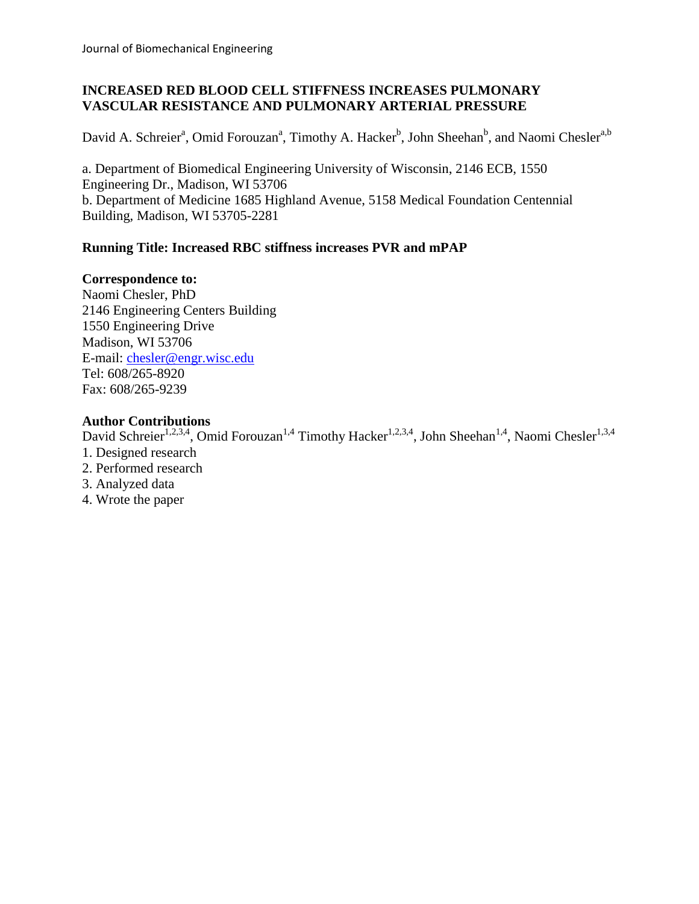# **INCREASED RED BLOOD CELL STIFFNESS INCREASES PULMONARY VASCULAR RESISTANCE AND PULMONARY ARTERIAL PRESSURE**

David A. Schreier<sup>a</sup>, Omid Forouzan<sup>a</sup>, Timothy A. Hacker<sup>b</sup>, John Sheehan<sup>b</sup>, and Naomi Chesler<sup>a,b</sup>

a. Department of Biomedical Engineering University of Wisconsin, 2146 ECB, 1550 Engineering Dr., Madison, WI 53706 b. Department of Medicine 1685 Highland Avenue, 5158 Medical Foundation Centennial Building, Madison, WI 53705-2281

# **Running Title: Increased RBC stiffness increases PVR and mPAP**

# **Correspondence to:**

Naomi Chesler, PhD 2146 Engineering Centers Building 1550 Engineering Drive Madison, WI 53706 E-mail: [chesler@engr.wisc.edu](mailto:chesler@engr.wisc.edu) Tel: 608/265-8920 Fax: 608/265-9239

# **Author Contributions**

David Schreier<sup>1,2,3,4</sup>, Omid Forouzan<sup>1,4</sup> Timothy Hacker<sup>1,2,3,4</sup>, John Sheehan<sup>1,4</sup>, Naomi Chesler<sup>1,3,4</sup>

- 1. Designed research
- 2. Performed research
- 3. Analyzed data
- 4. Wrote the paper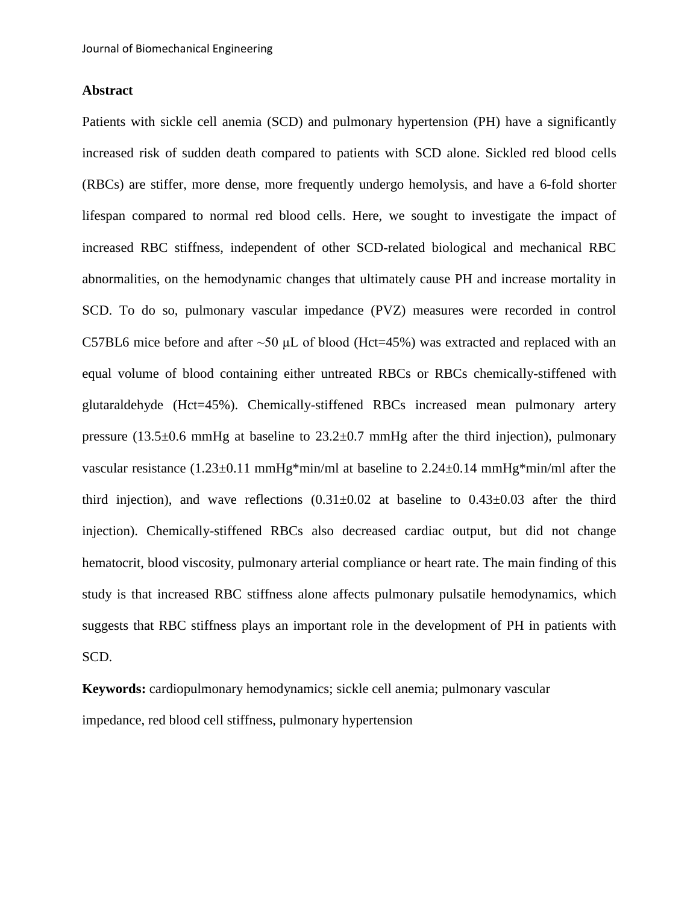## **Abstract**

Patients with sickle cell anemia (SCD) and pulmonary hypertension (PH) have a significantly increased risk of sudden death compared to patients with SCD alone. Sickled red blood cells (RBCs) are stiffer, more dense, more frequently undergo hemolysis, and have a 6-fold shorter lifespan compared to normal red blood cells. Here, we sought to investigate the impact of increased RBC stiffness, independent of other SCD-related biological and mechanical RBC abnormalities, on the hemodynamic changes that ultimately cause PH and increase mortality in SCD. To do so, pulmonary vascular impedance (PVZ) measures were recorded in control C57BL6 mice before and after ~50 μL of blood (Hct=45%) was extracted and replaced with an equal volume of blood containing either untreated RBCs or RBCs chemically-stiffened with glutaraldehyde (Hct=45%). Chemically-stiffened RBCs increased mean pulmonary artery pressure (13.5 $\pm$ 0.6 mmHg at baseline to 23.2 $\pm$ 0.7 mmHg after the third injection), pulmonary vascular resistance (1.23±0.11 mmHg\*min/ml at baseline to  $2.24\pm0.14$  mmHg\*min/ml after the third injection), and wave reflections  $(0.31 \pm 0.02)$  at baseline to  $0.43 \pm 0.03$  after the third injection). Chemically-stiffened RBCs also decreased cardiac output, but did not change hematocrit, blood viscosity, pulmonary arterial compliance or heart rate. The main finding of this study is that increased RBC stiffness alone affects pulmonary pulsatile hemodynamics, which suggests that RBC stiffness plays an important role in the development of PH in patients with SCD.

**Keywords:** cardiopulmonary hemodynamics; sickle cell anemia; pulmonary vascular impedance, red blood cell stiffness, pulmonary hypertension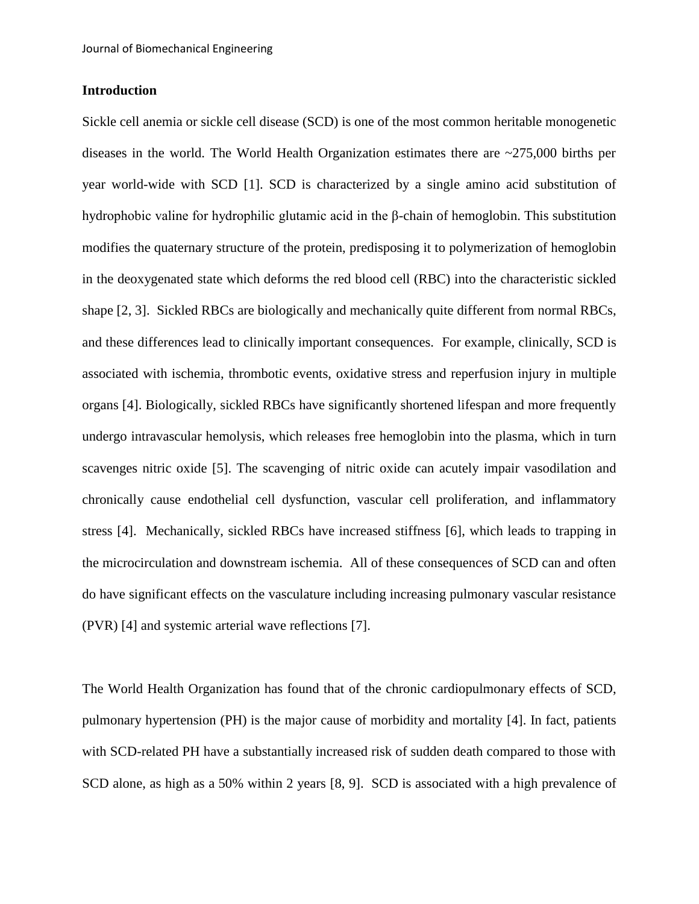## **Introduction**

Sickle cell anemia or sickle cell disease (SCD) is one of the most common heritable monogenetic diseases in the world. The World Health Organization estimates there are ~275,000 births per year world-wide with SCD [\[1\]](#page-14-0). SCD is characterized by a single amino acid substitution of hydrophobic valine for hydrophilic glutamic acid in the β-chain of hemoglobin. This substitution modifies the quaternary structure of the protein, predisposing it to polymerization of hemoglobin in the deoxygenated state which deforms the red blood cell (RBC) into the characteristic sickled shape [\[2,](#page-14-1) [3\]](#page-14-2). Sickled RBCs are biologically and mechanically quite different from normal RBCs, and these differences lead to clinically important consequences. For example, clinically, SCD is associated with ischemia, thrombotic events, oxidative stress and reperfusion injury in multiple organs [\[4\]](#page-14-3). Biologically, sickled RBCs have significantly shortened lifespan and more frequently undergo intravascular hemolysis, which releases free hemoglobin into the plasma, which in turn scavenges nitric oxide [\[5\]](#page-14-4). The scavenging of nitric oxide can acutely impair vasodilation and chronically cause endothelial cell dysfunction, vascular cell proliferation, and inflammatory stress [\[4\]](#page-14-3). Mechanically, sickled RBCs have increased stiffness [\[6\]](#page-14-5), which leads to trapping in the microcirculation and downstream ischemia. All of these consequences of SCD can and often do have significant effects on the vasculature including increasing pulmonary vascular resistance (PVR) [\[4\]](#page-14-3) and systemic arterial wave reflections [\[7\]](#page-14-6).

The World Health Organization has found that of the chronic cardiopulmonary effects of SCD, pulmonary hypertension (PH) is the major cause of morbidity and mortality [\[4\]](#page-14-3). In fact, patients with SCD-related PH have a substantially increased risk of sudden death compared to those with SCD alone, as high as a 50% within 2 years [\[8,](#page-14-7) [9\]](#page-14-8). SCD is associated with a high prevalence of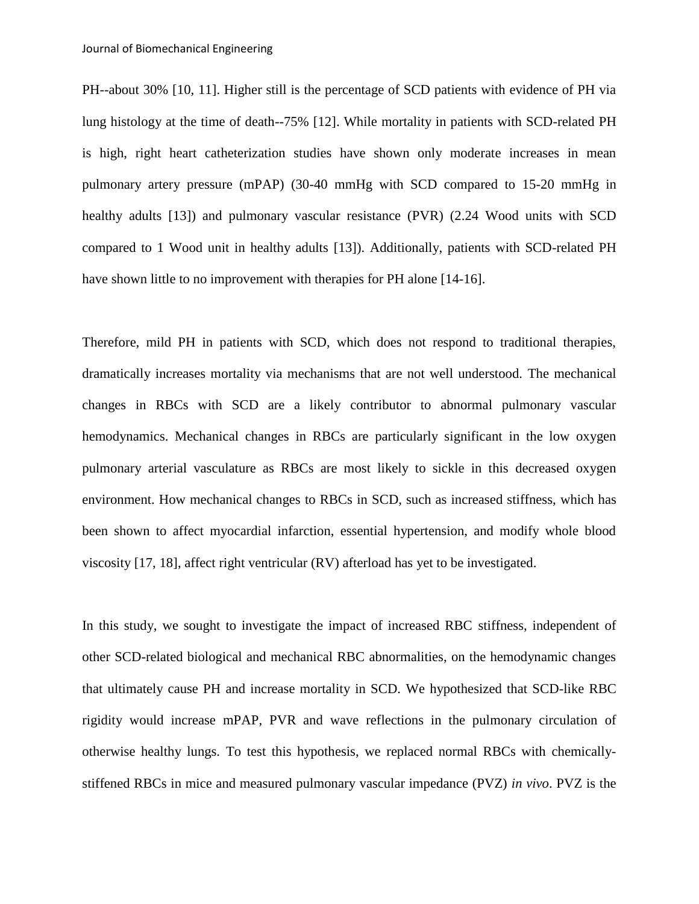PH--about 30% [\[10,](#page-14-9) [11\]](#page-14-10). Higher still is the percentage of SCD patients with evidence of PH via lung histology at the time of death--75% [\[12\]](#page-14-11). While mortality in patients with SCD-related PH is high, right heart catheterization studies have shown only moderate increases in mean pulmonary artery pressure (mPAP) (30-40 mmHg with SCD compared to 15-20 mmHg in healthy adults [\[13\]](#page-14-12)) and pulmonary vascular resistance (PVR) (2.24 Wood units with SCD compared to 1 Wood unit in healthy adults [\[13\]](#page-14-12)). Additionally, patients with SCD-related PH have shown little to no improvement with therapies for PH alone [\[14-16\]](#page-14-13).

Therefore, mild PH in patients with SCD, which does not respond to traditional therapies, dramatically increases mortality via mechanisms that are not well understood. The mechanical changes in RBCs with SCD are a likely contributor to abnormal pulmonary vascular hemodynamics. Mechanical changes in RBCs are particularly significant in the low oxygen pulmonary arterial vasculature as RBCs are most likely to sickle in this decreased oxygen environment. How mechanical changes to RBCs in SCD, such as increased stiffness, which has been shown to affect myocardial infarction, essential hypertension, and modify whole blood viscosity [\[17,](#page-15-0) [18\]](#page-15-1), affect right ventricular (RV) afterload has yet to be investigated.

In this study, we sought to investigate the impact of increased RBC stiffness, independent of other SCD-related biological and mechanical RBC abnormalities, on the hemodynamic changes that ultimately cause PH and increase mortality in SCD. We hypothesized that SCD-like RBC rigidity would increase mPAP, PVR and wave reflections in the pulmonary circulation of otherwise healthy lungs. To test this hypothesis, we replaced normal RBCs with chemicallystiffened RBCs in mice and measured pulmonary vascular impedance (PVZ) *in vivo*. PVZ is the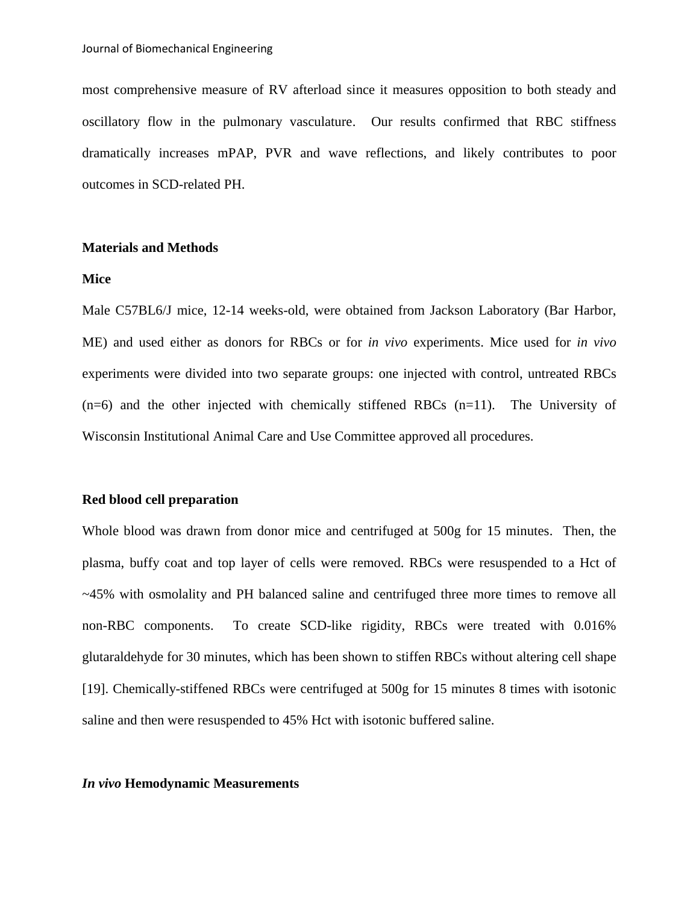most comprehensive measure of RV afterload since it measures opposition to both steady and oscillatory flow in the pulmonary vasculature. Our results confirmed that RBC stiffness dramatically increases mPAP, PVR and wave reflections, and likely contributes to poor outcomes in SCD-related PH.

### **Materials and Methods**

#### **Mice**

Male C57BL6/J mice, 12-14 weeks-old, were obtained from Jackson Laboratory (Bar Harbor, ME) and used either as donors for RBCs or for *in vivo* experiments. Mice used for *in vivo*  experiments were divided into two separate groups: one injected with control, untreated RBCs  $(n=6)$  and the other injected with chemically stiffened RBCs  $(n=11)$ . The University of Wisconsin Institutional Animal Care and Use Committee approved all procedures.

#### **Red blood cell preparation**

Whole blood was drawn from donor mice and centrifuged at 500g for 15 minutes. Then, the plasma, buffy coat and top layer of cells were removed. RBCs were resuspended to a Hct of ~45% with osmolality and PH balanced saline and centrifuged three more times to remove all non-RBC components. To create SCD-like rigidity, RBCs were treated with 0.016% glutaraldehyde for 30 minutes, which has been shown to stiffen RBCs without altering cell shape [\[19\]](#page-15-2). Chemically-stiffened RBCs were centrifuged at 500g for 15 minutes 8 times with isotonic saline and then were resuspended to 45% Hct with isotonic buffered saline.

#### *In vivo* **Hemodynamic Measurements**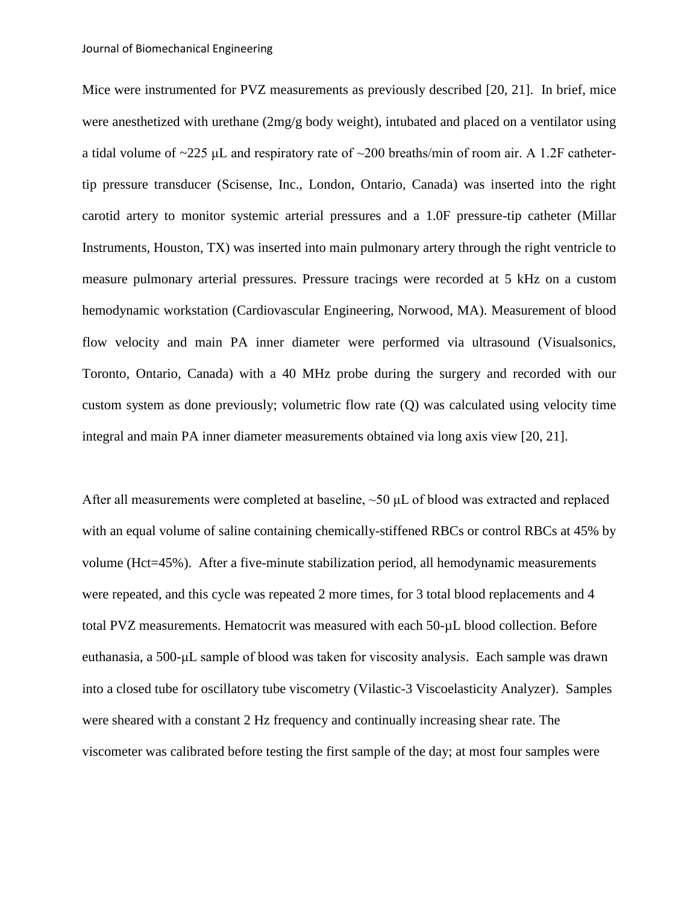Mice were instrumented for PVZ measurements as previously described [\[20,](#page-15-3) [21\]](#page-15-4). In brief, mice were anesthetized with urethane (2mg/g body weight), intubated and placed on a ventilator using a tidal volume of ~225 μL and respiratory rate of ~200 breaths/min of room air. A 1.2F cathetertip pressure transducer (Scisense, Inc., London, Ontario, Canada) was inserted into the right carotid artery to monitor systemic arterial pressures and a 1.0F pressure-tip catheter (Millar Instruments, Houston, TX) was inserted into main pulmonary artery through the right ventricle to measure pulmonary arterial pressures. Pressure tracings were recorded at 5 kHz on a custom hemodynamic workstation (Cardiovascular Engineering, Norwood, MA). Measurement of blood flow velocity and main PA inner diameter were performed via ultrasound (Visualsonics, Toronto, Ontario, Canada) with a 40 MHz probe during the surgery and recorded with our custom system as done previously; volumetric flow rate (Q) was calculated using velocity time integral and main PA inner diameter measurements obtained via long axis view [\[20,](#page-15-3) [21\]](#page-15-4).

After all measurements were completed at baseline, ~50 μL of blood was extracted and replaced with an equal volume of saline containing chemically-stiffened RBCs or control RBCs at 45% by volume (Hct=45%). After a five-minute stabilization period, all hemodynamic measurements were repeated, and this cycle was repeated 2 more times, for 3 total blood replacements and 4 total PVZ measurements. Hematocrit was measured with each 50-µL blood collection. Before euthanasia, a 500-μL sample of blood was taken for viscosity analysis. Each sample was drawn into a closed tube for oscillatory tube viscometry (Vilastic-3 Viscoelasticity Analyzer). Samples were sheared with a constant 2 Hz frequency and continually increasing shear rate. The viscometer was calibrated before testing the first sample of the day; at most four samples were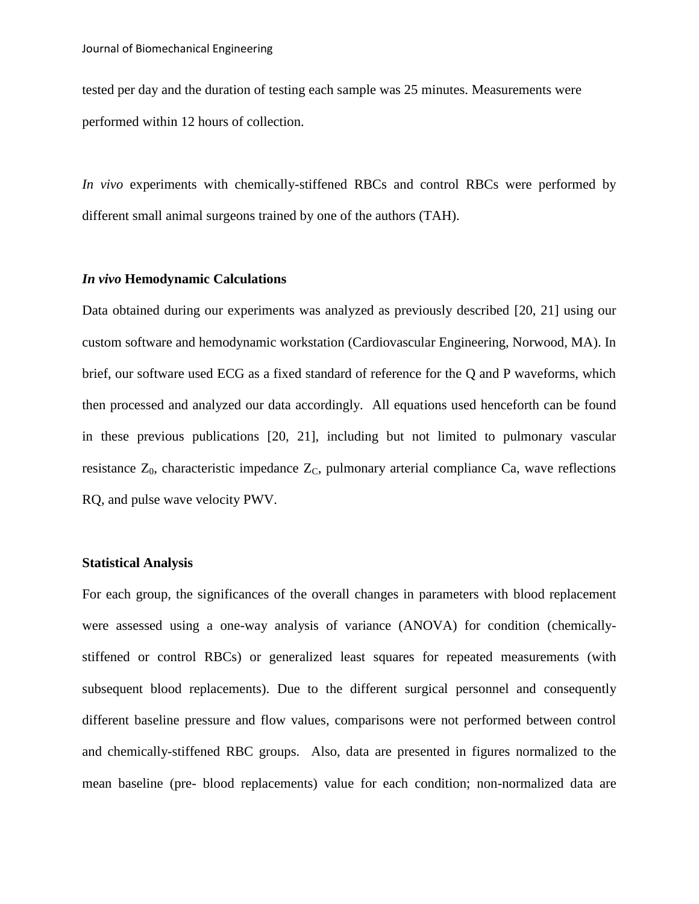tested per day and the duration of testing each sample was 25 minutes. Measurements were performed within 12 hours of collection.

*In vivo* experiments with chemically-stiffened RBCs and control RBCs were performed by different small animal surgeons trained by one of the authors (TAH).

## *In vivo* **Hemodynamic Calculations**

Data obtained during our experiments was analyzed as previously described [\[20,](#page-15-3) [21\]](#page-15-4) using our custom software and hemodynamic workstation (Cardiovascular Engineering, Norwood, MA). In brief, our software used ECG as a fixed standard of reference for the Q and P waveforms, which then processed and analyzed our data accordingly. All equations used henceforth can be found in these previous publications [\[20,](#page-15-3) [21\]](#page-15-4), including but not limited to pulmonary vascular resistance  $Z_0$ , characteristic impedance  $Z_C$ , pulmonary arterial compliance Ca, wave reflections RQ, and pulse wave velocity PWV.

#### **Statistical Analysis**

For each group, the significances of the overall changes in parameters with blood replacement were assessed using a one-way analysis of variance (ANOVA) for condition (chemicallystiffened or control RBCs) or generalized least squares for repeated measurements (with subsequent blood replacements). Due to the different surgical personnel and consequently different baseline pressure and flow values, comparisons were not performed between control and chemically-stiffened RBC groups. Also, data are presented in figures normalized to the mean baseline (pre- blood replacements) value for each condition; non-normalized data are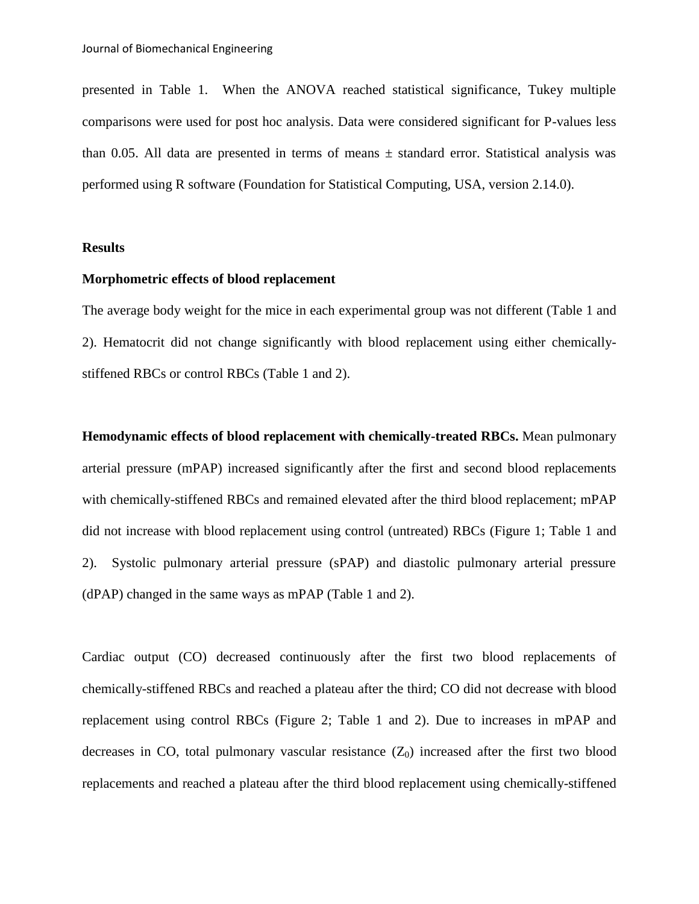presented in Table 1. When the ANOVA reached statistical significance, Tukey multiple comparisons were used for post hoc analysis. Data were considered significant for P-values less than 0.05. All data are presented in terms of means  $\pm$  standard error. Statistical analysis was performed using R software (Foundation for Statistical Computing, USA, version 2.14.0).

#### **Results**

## **Morphometric effects of blood replacement**

The average body weight for the mice in each experimental group was not different (Table 1 and 2). Hematocrit did not change significantly with blood replacement using either chemicallystiffened RBCs or control RBCs (Table 1 and 2).

**Hemodynamic effects of blood replacement with chemically-treated RBCs.** Mean pulmonary arterial pressure (mPAP) increased significantly after the first and second blood replacements with chemically-stiffened RBCs and remained elevated after the third blood replacement; mPAP did not increase with blood replacement using control (untreated) RBCs (Figure 1; Table 1 and 2). Systolic pulmonary arterial pressure (sPAP) and diastolic pulmonary arterial pressure (dPAP) changed in the same ways as mPAP (Table 1 and 2).

Cardiac output (CO) decreased continuously after the first two blood replacements of chemically-stiffened RBCs and reached a plateau after the third; CO did not decrease with blood replacement using control RBCs (Figure 2; Table 1 and 2). Due to increases in mPAP and decreases in CO, total pulmonary vascular resistance  $(Z_0)$  increased after the first two blood replacements and reached a plateau after the third blood replacement using chemically-stiffened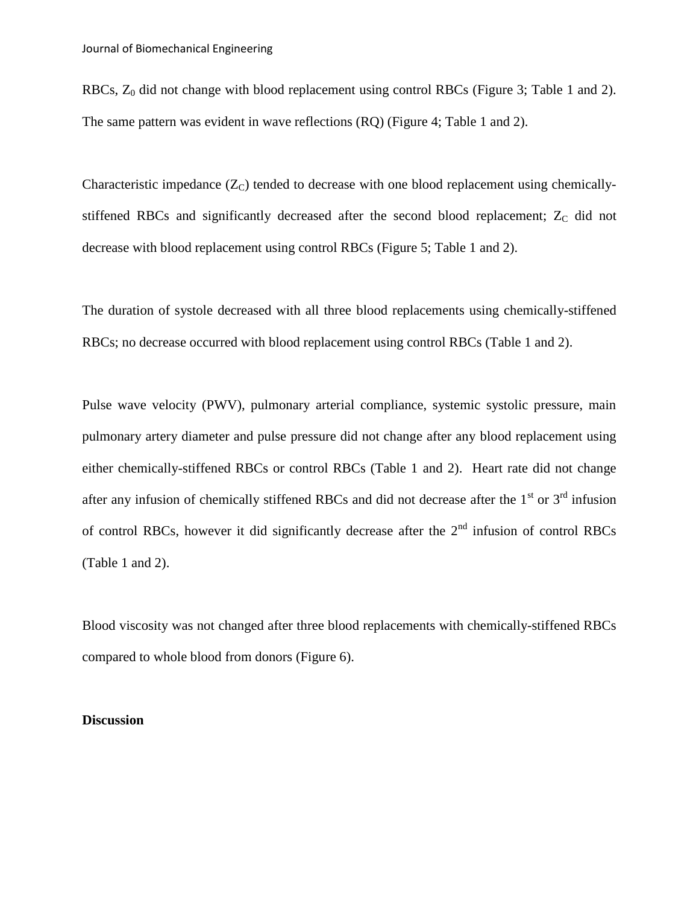RBCs,  $Z_0$  did not change with blood replacement using control RBCs (Figure 3; Table 1 and 2). The same pattern was evident in wave reflections (RQ) (Figure 4; Table 1 and 2).

Characteristic impedance  $(Z_C)$  tended to decrease with one blood replacement using chemicallystiffened RBCs and significantly decreased after the second blood replacement;  $Z_C$  did not decrease with blood replacement using control RBCs (Figure 5; Table 1 and 2).

The duration of systole decreased with all three blood replacements using chemically-stiffened RBCs; no decrease occurred with blood replacement using control RBCs (Table 1 and 2).

Pulse wave velocity (PWV), pulmonary arterial compliance, systemic systolic pressure, main pulmonary artery diameter and pulse pressure did not change after any blood replacement using either chemically-stiffened RBCs or control RBCs (Table 1 and 2). Heart rate did not change after any infusion of chemically stiffened RBCs and did not decrease after the  $1<sup>st</sup>$  or  $3<sup>rd</sup>$  infusion of control RBCs, however it did significantly decrease after the 2nd infusion of control RBCs (Table 1 and 2).

Blood viscosity was not changed after three blood replacements with chemically-stiffened RBCs compared to whole blood from donors (Figure 6).

#### **Discussion**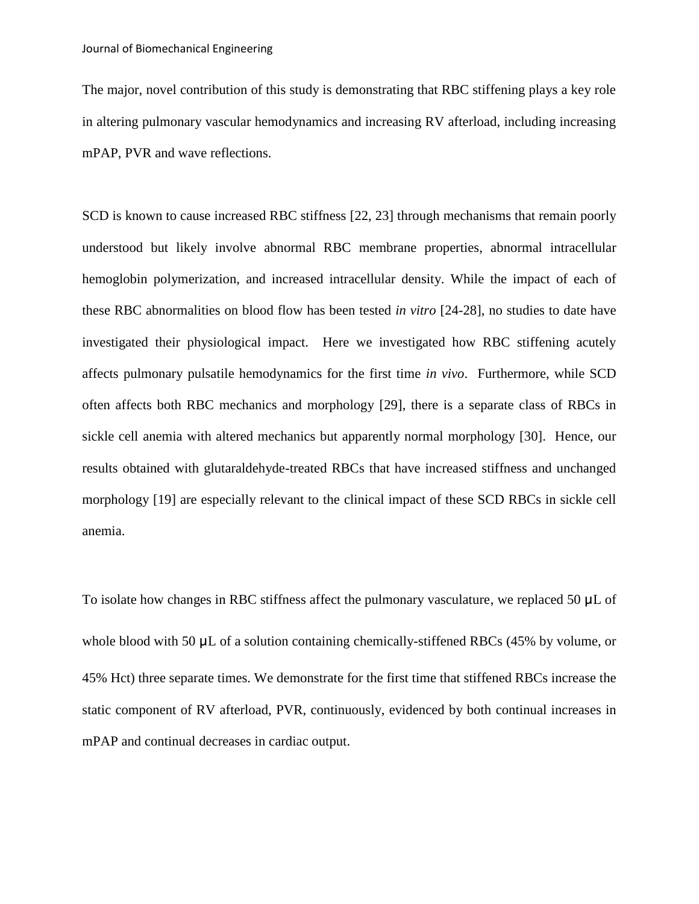The major, novel contribution of this study is demonstrating that RBC stiffening plays a key role in altering pulmonary vascular hemodynamics and increasing RV afterload, including increasing mPAP, PVR and wave reflections.

SCD is known to cause increased RBC stiffness [\[22,](#page-15-5) [23\]](#page-15-6) through mechanisms that remain poorly understood but likely involve abnormal RBC membrane properties, abnormal intracellular hemoglobin polymerization, and increased intracellular density. While the impact of each of these RBC abnormalities on blood flow has been tested *in vitro* [\[24-28\]](#page-15-7), no studies to date have investigated their physiological impact. Here we investigated how RBC stiffening acutely affects pulmonary pulsatile hemodynamics for the first time *in vivo*. Furthermore, while SCD often affects both RBC mechanics and morphology [\[29\]](#page-15-8), there is a separate class of RBCs in sickle cell anemia with altered mechanics but apparently normal morphology [\[30\]](#page-15-9). Hence, our results obtained with glutaraldehyde-treated RBCs that have increased stiffness and unchanged morphology [\[19\]](#page-15-2) are especially relevant to the clinical impact of these SCD RBCs in sickle cell anemia.

To isolate how changes in RBC stiffness affect the pulmonary vasculature, we replaced 50  $\mu$ L of whole blood with 50  $\mu$ L of a solution containing chemically-stiffened RBCs (45% by volume, or 45% Hct) three separate times. We demonstrate for the first time that stiffened RBCs increase the static component of RV afterload, PVR, continuously, evidenced by both continual increases in mPAP and continual decreases in cardiac output.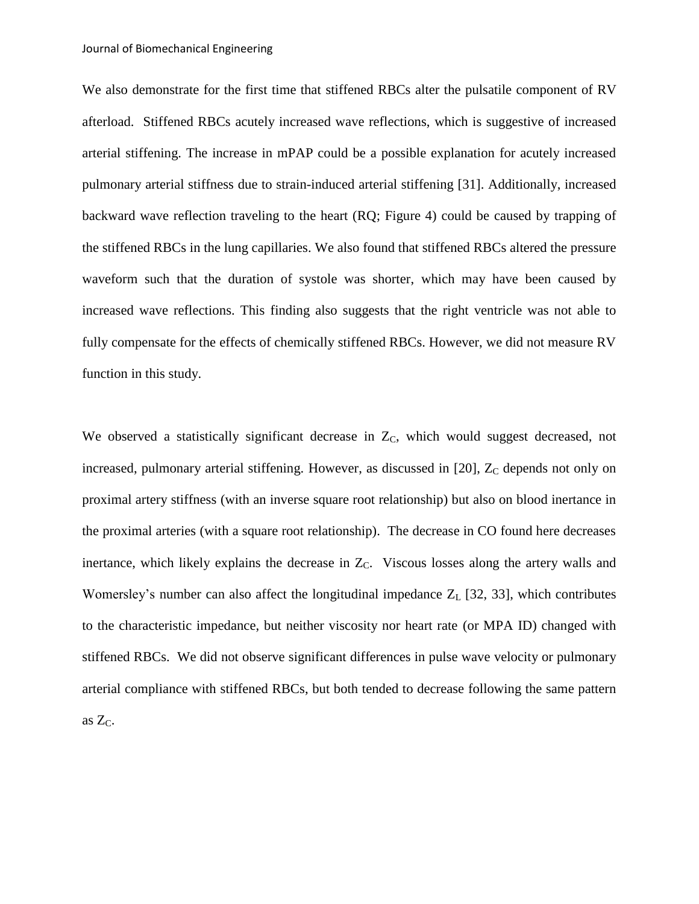We also demonstrate for the first time that stiffened RBCs alter the pulsatile component of RV afterload. Stiffened RBCs acutely increased wave reflections, which is suggestive of increased arterial stiffening. The increase in mPAP could be a possible explanation for acutely increased pulmonary arterial stiffness due to strain-induced arterial stiffening [\[31\]](#page-15-10). Additionally, increased backward wave reflection traveling to the heart (RQ; Figure 4) could be caused by trapping of the stiffened RBCs in the lung capillaries. We also found that stiffened RBCs altered the pressure waveform such that the duration of systole was shorter, which may have been caused by increased wave reflections. This finding also suggests that the right ventricle was not able to fully compensate for the effects of chemically stiffened RBCs. However, we did not measure RV function in this study.

We observed a statistically significant decrease in  $Z<sub>C</sub>$ , which would suggest decreased, not increased, pulmonary arterial stiffening. However, as discussed in  $[20]$ ,  $Z_C$  depends not only on proximal artery stiffness (with an inverse square root relationship) but also on blood inertance in the proximal arteries (with a square root relationship). The decrease in CO found here decreases inertance, which likely explains the decrease in  $Z<sub>C</sub>$ . Viscous losses along the artery walls and Womersley's number can also affect the longitudinal impedance  $Z_L$  [\[32,](#page-16-0) [33\]](#page-16-1), which contributes to the characteristic impedance, but neither viscosity nor heart rate (or MPA ID) changed with stiffened RBCs. We did not observe significant differences in pulse wave velocity or pulmonary arterial compliance with stiffened RBCs, but both tended to decrease following the same pattern as  $Z_C$ .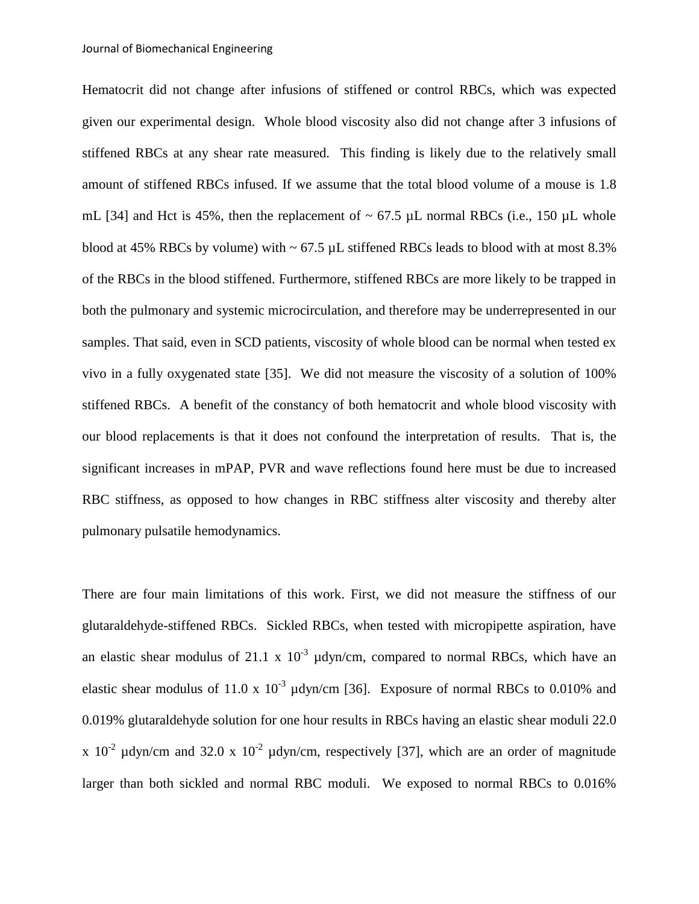Hematocrit did not change after infusions of stiffened or control RBCs, which was expected given our experimental design. Whole blood viscosity also did not change after 3 infusions of stiffened RBCs at any shear rate measured. This finding is likely due to the relatively small amount of stiffened RBCs infused. If we assume that the total blood volume of a mouse is 1.8 mL [\[34\]](#page-16-2) and Hct is 45%, then the replacement of  $\sim$  67.5 µL normal RBCs (i.e., 150 µL whole blood at 45% RBCs by volume) with  $\sim$  67.5 µL stiffened RBCs leads to blood with at most 8.3% of the RBCs in the blood stiffened. Furthermore, stiffened RBCs are more likely to be trapped in both the pulmonary and systemic microcirculation, and therefore may be underrepresented in our samples. That said, even in SCD patients, viscosity of whole blood can be normal when tested ex vivo in a fully oxygenated state [\[35\]](#page-16-3). We did not measure the viscosity of a solution of 100% stiffened RBCs. A benefit of the constancy of both hematocrit and whole blood viscosity with our blood replacements is that it does not confound the interpretation of results. That is, the significant increases in mPAP, PVR and wave reflections found here must be due to increased RBC stiffness, as opposed to how changes in RBC stiffness alter viscosity and thereby alter pulmonary pulsatile hemodynamics.

There are four main limitations of this work. First, we did not measure the stiffness of our glutaraldehyde-stiffened RBCs. Sickled RBCs, when tested with micropipette aspiration, have an elastic shear modulus of 21.1 x  $10^{-3}$   $\mu$ dyn/cm, compared to normal RBCs, which have an elastic shear modulus of 11.0 x  $10^{-3}$  µdyn/cm [\[36\]](#page-16-4). Exposure of normal RBCs to 0.010% and 0.019% glutaraldehyde solution for one hour results in RBCs having an elastic shear moduli 22.0 x 10<sup>-2</sup> µdyn/cm and 32.0 x 10<sup>-2</sup> µdyn/cm, respectively [\[37\]](#page-16-5), which are an order of magnitude larger than both sickled and normal RBC moduli. We exposed to normal RBCs to 0.016%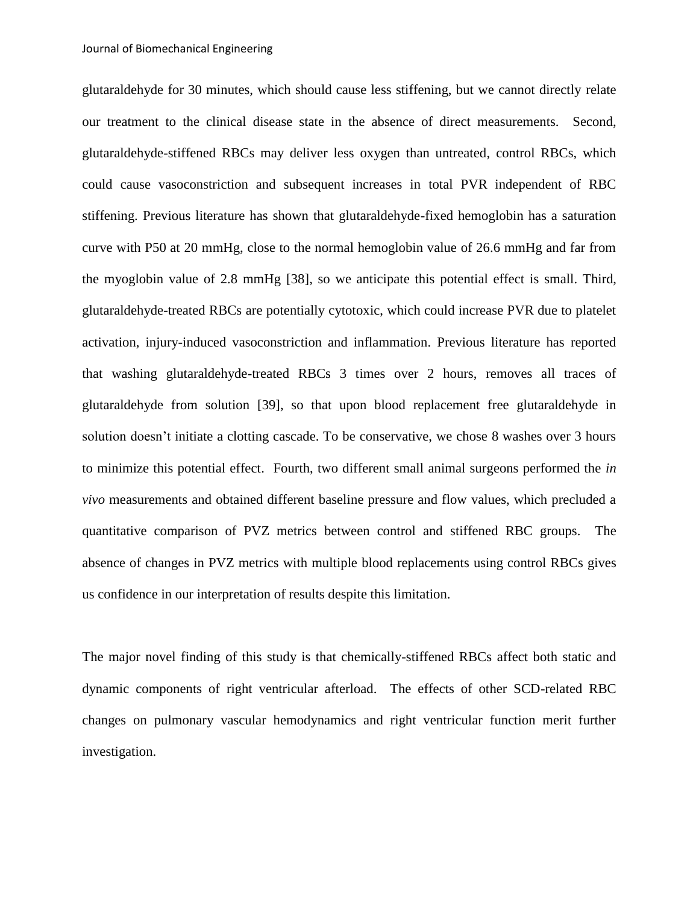glutaraldehyde for 30 minutes, which should cause less stiffening, but we cannot directly relate our treatment to the clinical disease state in the absence of direct measurements. Second, glutaraldehyde-stiffened RBCs may deliver less oxygen than untreated, control RBCs, which could cause vasoconstriction and subsequent increases in total PVR independent of RBC stiffening. Previous literature has shown that glutaraldehyde-fixed hemoglobin has a saturation curve with P50 at 20 mmHg, close to the normal hemoglobin value of 26.6 mmHg and far from the myoglobin value of 2.8 mmHg [\[38\]](#page-16-6), so we anticipate this potential effect is small. Third, glutaraldehyde-treated RBCs are potentially cytotoxic, which could increase PVR due to platelet activation, injury-induced vasoconstriction and inflammation. Previous literature has reported that washing glutaraldehyde-treated RBCs 3 times over 2 hours, removes all traces of glutaraldehyde from solution [\[39\]](#page-16-7), so that upon blood replacement free glutaraldehyde in solution doesn't initiate a clotting cascade. To be conservative, we chose 8 washes over 3 hours to minimize this potential effect. Fourth, two different small animal surgeons performed the *in vivo* measurements and obtained different baseline pressure and flow values, which precluded a quantitative comparison of PVZ metrics between control and stiffened RBC groups. The absence of changes in PVZ metrics with multiple blood replacements using control RBCs gives us confidence in our interpretation of results despite this limitation.

The major novel finding of this study is that chemically-stiffened RBCs affect both static and dynamic components of right ventricular afterload. The effects of other SCD-related RBC changes on pulmonary vascular hemodynamics and right ventricular function merit further investigation.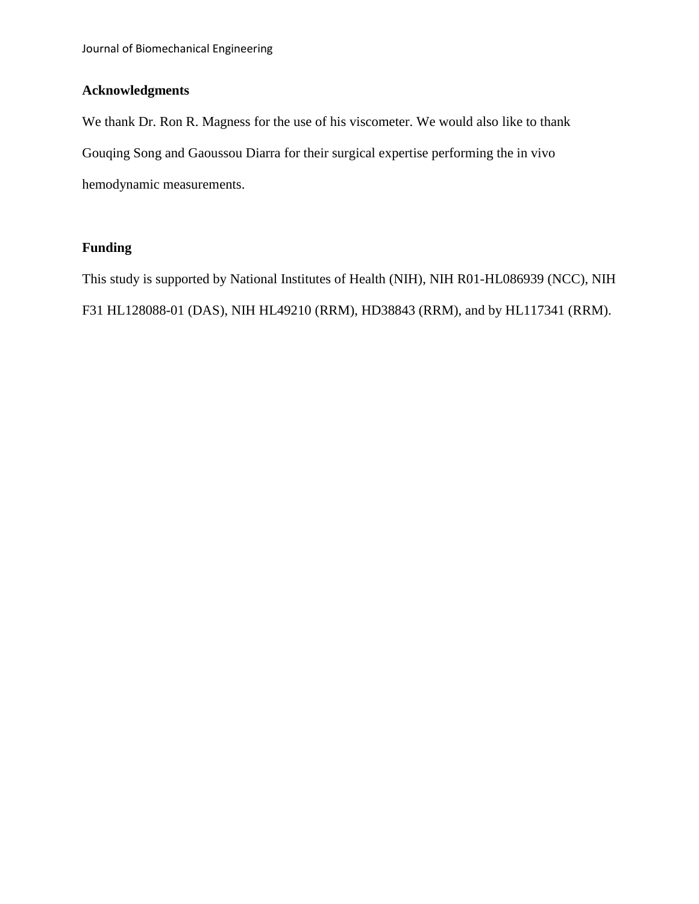# **Acknowledgments**

We thank Dr. Ron R. Magness for the use of his viscometer. We would also like to thank Gouqing Song and Gaoussou Diarra for their surgical expertise performing the in vivo hemodynamic measurements.

# **Funding**

This study is supported by National Institutes of Health (NIH), NIH R01-HL086939 (NCC), NIH F31 HL128088-01 (DAS), NIH HL49210 (RRM), HD38843 (RRM), and by HL117341 (RRM).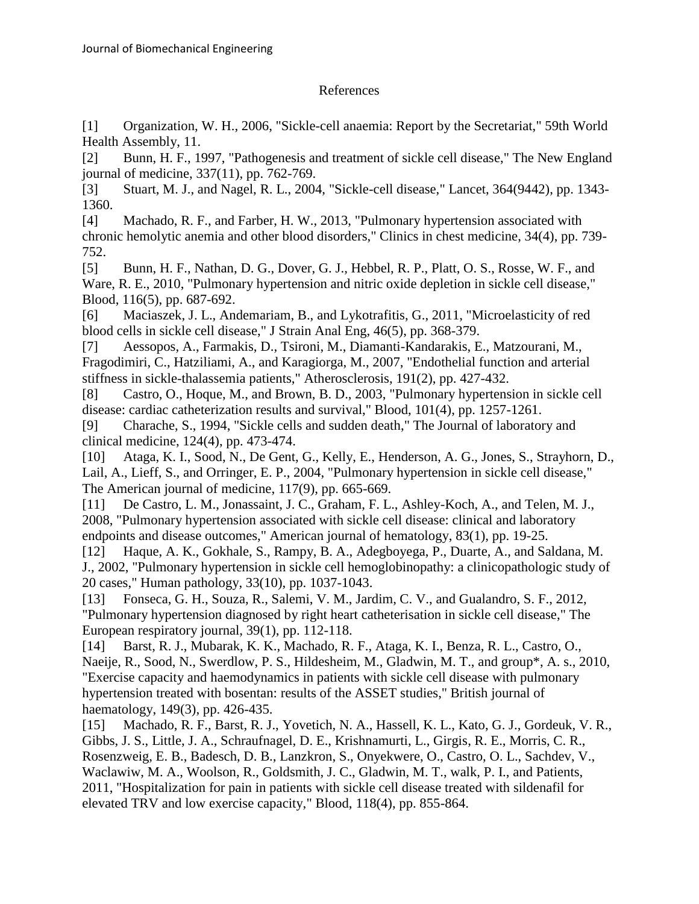# References

<span id="page-14-0"></span>[1] Organization, W. H., 2006, "Sickle-cell anaemia: Report by the Secretariat," 59th World Health Assembly, 11.

<span id="page-14-1"></span>[2] Bunn, H. F., 1997, "Pathogenesis and treatment of sickle cell disease," The New England journal of medicine, 337(11), pp. 762-769.

<span id="page-14-2"></span>[3] Stuart, M. J., and Nagel, R. L., 2004, "Sickle-cell disease," Lancet, 364(9442), pp. 1343- 1360.

<span id="page-14-3"></span>[4] Machado, R. F., and Farber, H. W., 2013, "Pulmonary hypertension associated with chronic hemolytic anemia and other blood disorders," Clinics in chest medicine, 34(4), pp. 739- 752.

<span id="page-14-4"></span>[5] Bunn, H. F., Nathan, D. G., Dover, G. J., Hebbel, R. P., Platt, O. S., Rosse, W. F., and Ware, R. E., 2010, "Pulmonary hypertension and nitric oxide depletion in sickle cell disease," Blood, 116(5), pp. 687-692.

<span id="page-14-5"></span>[6] Maciaszek, J. L., Andemariam, B., and Lykotrafitis, G., 2011, "Microelasticity of red blood cells in sickle cell disease," J Strain Anal Eng, 46(5), pp. 368-379.

<span id="page-14-6"></span>[7] Aessopos, A., Farmakis, D., Tsironi, M., Diamanti-Kandarakis, E., Matzourani, M., Fragodimiri, C., Hatziliami, A., and Karagiorga, M., 2007, "Endothelial function and arterial stiffness in sickle-thalassemia patients," Atherosclerosis, 191(2), pp. 427-432.

<span id="page-14-7"></span>[8] Castro, O., Hoque, M., and Brown, B. D., 2003, "Pulmonary hypertension in sickle cell disease: cardiac catheterization results and survival," Blood, 101(4), pp. 1257-1261.

<span id="page-14-8"></span>[9] Charache, S., 1994, "Sickle cells and sudden death," The Journal of laboratory and clinical medicine, 124(4), pp. 473-474.

<span id="page-14-9"></span>[10] Ataga, K. I., Sood, N., De Gent, G., Kelly, E., Henderson, A. G., Jones, S., Strayhorn, D., Lail, A., Lieff, S., and Orringer, E. P., 2004, "Pulmonary hypertension in sickle cell disease," The American journal of medicine, 117(9), pp. 665-669.

<span id="page-14-10"></span>[11] De Castro, L. M., Jonassaint, J. C., Graham, F. L., Ashley-Koch, A., and Telen, M. J., 2008, "Pulmonary hypertension associated with sickle cell disease: clinical and laboratory endpoints and disease outcomes," American journal of hematology, 83(1), pp. 19-25.

<span id="page-14-11"></span>[12] Haque, A. K., Gokhale, S., Rampy, B. A., Adegboyega, P., Duarte, A., and Saldana, M. J., 2002, "Pulmonary hypertension in sickle cell hemoglobinopathy: a clinicopathologic study of 20 cases," Human pathology, 33(10), pp. 1037-1043.

<span id="page-14-12"></span>[13] Fonseca, G. H., Souza, R., Salemi, V. M., Jardim, C. V., and Gualandro, S. F., 2012, "Pulmonary hypertension diagnosed by right heart catheterisation in sickle cell disease," The European respiratory journal, 39(1), pp. 112-118.

<span id="page-14-13"></span>[14] Barst, R. J., Mubarak, K. K., Machado, R. F., Ataga, K. I., Benza, R. L., Castro, O., Naeije, R., Sood, N., Swerdlow, P. S., Hildesheim, M., Gladwin, M. T., and group\*, A. s., 2010, "Exercise capacity and haemodynamics in patients with sickle cell disease with pulmonary hypertension treated with bosentan: results of the ASSET studies," British journal of haematology, 149(3), pp. 426-435.

[15] Machado, R. F., Barst, R. J., Yovetich, N. A., Hassell, K. L., Kato, G. J., Gordeuk, V. R., Gibbs, J. S., Little, J. A., Schraufnagel, D. E., Krishnamurti, L., Girgis, R. E., Morris, C. R., Rosenzweig, E. B., Badesch, D. B., Lanzkron, S., Onyekwere, O., Castro, O. L., Sachdev, V., Waclawiw, M. A., Woolson, R., Goldsmith, J. C., Gladwin, M. T., walk, P. I., and Patients, 2011, "Hospitalization for pain in patients with sickle cell disease treated with sildenafil for elevated TRV and low exercise capacity," Blood, 118(4), pp. 855-864.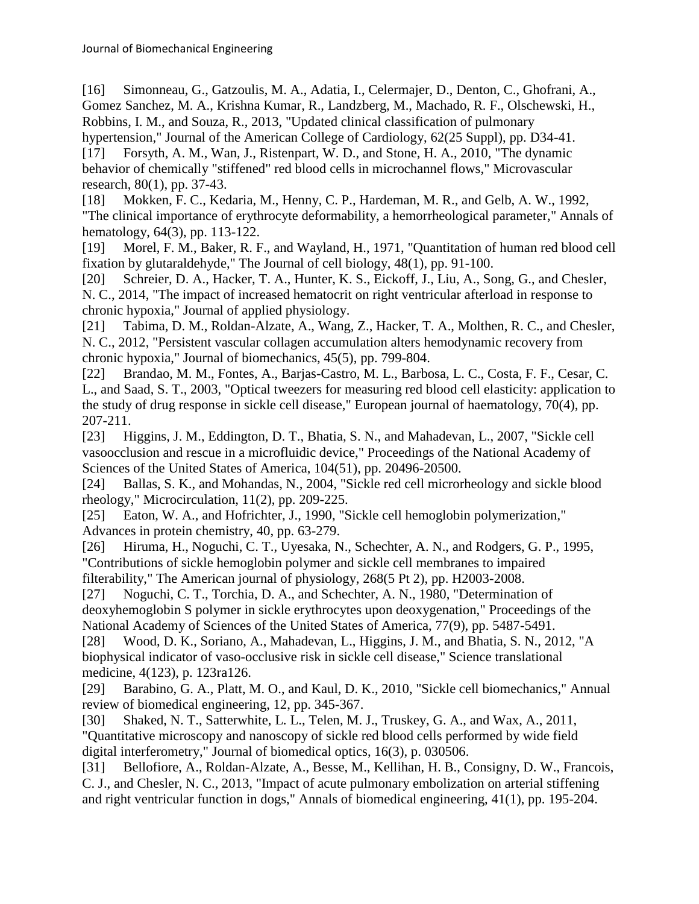[16] Simonneau, G., Gatzoulis, M. A., Adatia, I., Celermajer, D., Denton, C., Ghofrani, A., Gomez Sanchez, M. A., Krishna Kumar, R., Landzberg, M., Machado, R. F., Olschewski, H., Robbins, I. M., and Souza, R., 2013, "Updated clinical classification of pulmonary

<span id="page-15-0"></span>hypertension," Journal of the American College of Cardiology, 62(25 Suppl), pp. D34-41. [17] Forsyth, A. M., Wan, J., Ristenpart, W. D., and Stone, H. A., 2010, "The dynamic behavior of chemically "stiffened" red blood cells in microchannel flows," Microvascular research, 80(1), pp. 37-43.

<span id="page-15-1"></span>[18] Mokken, F. C., Kedaria, M., Henny, C. P., Hardeman, M. R., and Gelb, A. W., 1992, "The clinical importance of erythrocyte deformability, a hemorrheological parameter," Annals of hematology, 64(3), pp. 113-122.

<span id="page-15-2"></span>[19] Morel, F. M., Baker, R. F., and Wayland, H., 1971, "Quantitation of human red blood cell fixation by glutaraldehyde," The Journal of cell biology, 48(1), pp. 91-100.

<span id="page-15-3"></span>[20] Schreier, D. A., Hacker, T. A., Hunter, K. S., Eickoff, J., Liu, A., Song, G., and Chesler, N. C., 2014, "The impact of increased hematocrit on right ventricular afterload in response to chronic hypoxia," Journal of applied physiology.

<span id="page-15-4"></span>[21] Tabima, D. M., Roldan-Alzate, A., Wang, Z., Hacker, T. A., Molthen, R. C., and Chesler, N. C., 2012, "Persistent vascular collagen accumulation alters hemodynamic recovery from chronic hypoxia," Journal of biomechanics, 45(5), pp. 799-804.

<span id="page-15-5"></span>[22] Brandao, M. M., Fontes, A., Barjas-Castro, M. L., Barbosa, L. C., Costa, F. F., Cesar, C. L., and Saad, S. T., 2003, "Optical tweezers for measuring red blood cell elasticity: application to the study of drug response in sickle cell disease," European journal of haematology, 70(4), pp. 207-211.

<span id="page-15-6"></span>[23] Higgins, J. M., Eddington, D. T., Bhatia, S. N., and Mahadevan, L., 2007, "Sickle cell vasoocclusion and rescue in a microfluidic device," Proceedings of the National Academy of Sciences of the United States of America, 104(51), pp. 20496-20500.

<span id="page-15-7"></span>[24] Ballas, S. K., and Mohandas, N., 2004, "Sickle red cell microrheology and sickle blood rheology," Microcirculation, 11(2), pp. 209-225.

[25] Eaton, W. A., and Hofrichter, J., 1990, "Sickle cell hemoglobin polymerization," Advances in protein chemistry, 40, pp. 63-279.

[26] Hiruma, H., Noguchi, C. T., Uyesaka, N., Schechter, A. N., and Rodgers, G. P., 1995, "Contributions of sickle hemoglobin polymer and sickle cell membranes to impaired filterability," The American journal of physiology, 268(5 Pt 2), pp. H2003-2008.

[27] Noguchi, C. T., Torchia, D. A., and Schechter, A. N., 1980, "Determination of deoxyhemoglobin S polymer in sickle erythrocytes upon deoxygenation," Proceedings of the National Academy of Sciences of the United States of America, 77(9), pp. 5487-5491.

[28] Wood, D. K., Soriano, A., Mahadevan, L., Higgins, J. M., and Bhatia, S. N., 2012, "A biophysical indicator of vaso-occlusive risk in sickle cell disease," Science translational medicine, 4(123), p. 123ra126.

<span id="page-15-8"></span>[29] Barabino, G. A., Platt, M. O., and Kaul, D. K., 2010, "Sickle cell biomechanics," Annual review of biomedical engineering, 12, pp. 345-367.

<span id="page-15-9"></span>[30] Shaked, N. T., Satterwhite, L. L., Telen, M. J., Truskey, G. A., and Wax, A., 2011, "Quantitative microscopy and nanoscopy of sickle red blood cells performed by wide field digital interferometry," Journal of biomedical optics, 16(3), p. 030506.

<span id="page-15-10"></span>[31] Bellofiore, A., Roldan-Alzate, A., Besse, M., Kellihan, H. B., Consigny, D. W., Francois, C. J., and Chesler, N. C., 2013, "Impact of acute pulmonary embolization on arterial stiffening and right ventricular function in dogs," Annals of biomedical engineering, 41(1), pp. 195-204.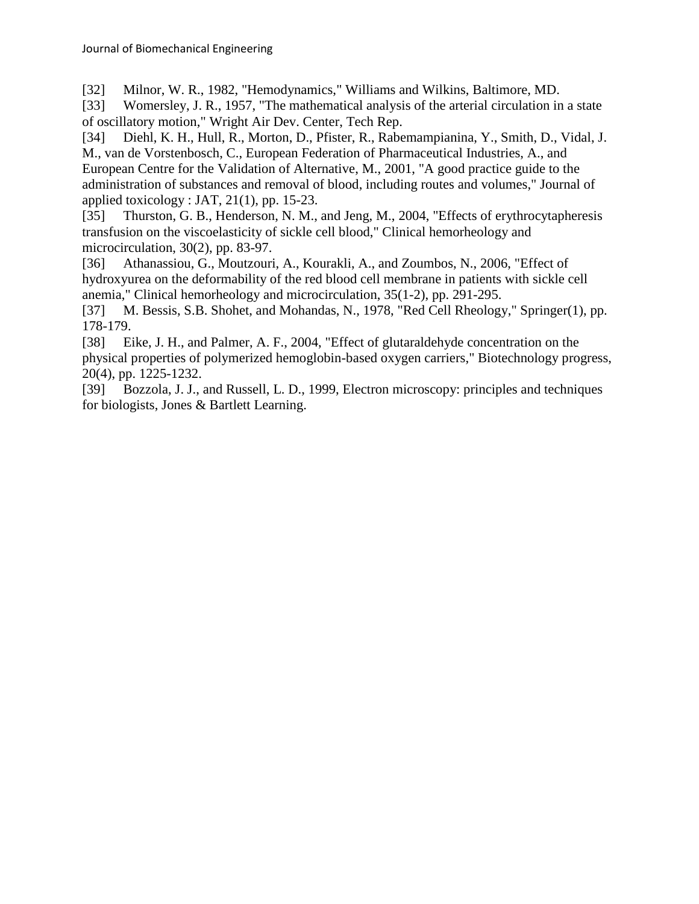<span id="page-16-0"></span>[32] Milnor, W. R., 1982, "Hemodynamics," Williams and Wilkins, Baltimore, MD.

<span id="page-16-1"></span>[33] Womersley, J. R., 1957, "The mathematical analysis of the arterial circulation in a state of oscillatory motion," Wright Air Dev. Center, Tech Rep.

<span id="page-16-2"></span>[34] Diehl, K. H., Hull, R., Morton, D., Pfister, R., Rabemampianina, Y., Smith, D., Vidal, J. M., van de Vorstenbosch, C., European Federation of Pharmaceutical Industries, A., and European Centre for the Validation of Alternative, M., 2001, "A good practice guide to the administration of substances and removal of blood, including routes and volumes," Journal of applied toxicology : JAT, 21(1), pp. 15-23.

<span id="page-16-3"></span>[35] Thurston, G. B., Henderson, N. M., and Jeng, M., 2004, "Effects of erythrocytapheresis transfusion on the viscoelasticity of sickle cell blood," Clinical hemorheology and microcirculation, 30(2), pp. 83-97.

<span id="page-16-4"></span>[36] Athanassiou, G., Moutzouri, A., Kourakli, A., and Zoumbos, N., 2006, "Effect of hydroxyurea on the deformability of the red blood cell membrane in patients with sickle cell anemia," Clinical hemorheology and microcirculation, 35(1-2), pp. 291-295.

<span id="page-16-5"></span>[37] M. Bessis, S.B. Shohet, and Mohandas, N., 1978, "Red Cell Rheology," Springer(1), pp. 178-179.

<span id="page-16-6"></span>[38] Eike, J. H., and Palmer, A. F., 2004, "Effect of glutaraldehyde concentration on the physical properties of polymerized hemoglobin-based oxygen carriers," Biotechnology progress, 20(4), pp. 1225-1232.

<span id="page-16-7"></span>[39] Bozzola, J. J., and Russell, L. D., 1999, Electron microscopy: principles and techniques for biologists, Jones & Bartlett Learning.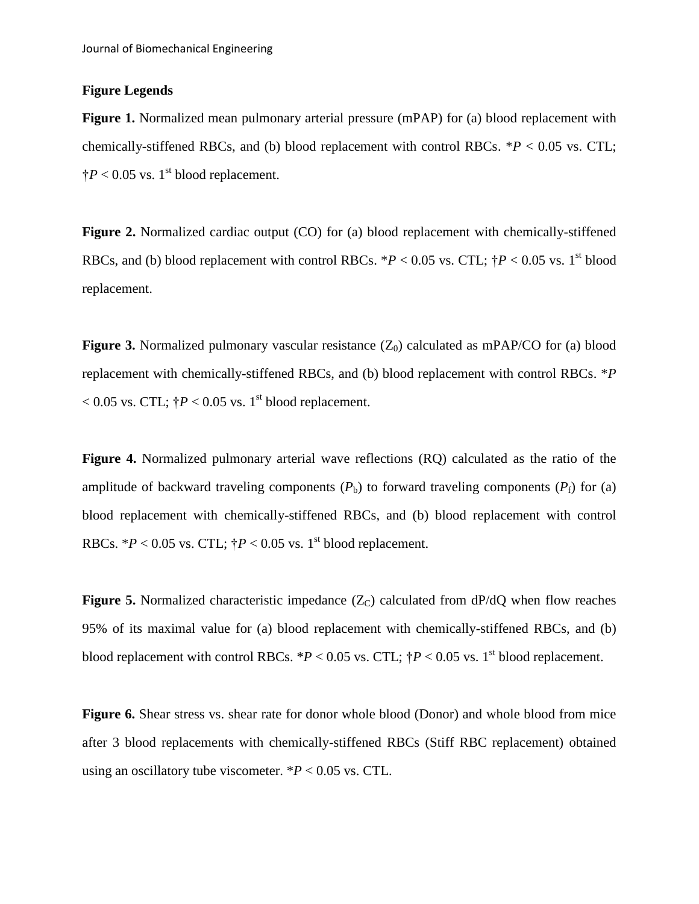### **Figure Legends**

**Figure 1.** Normalized mean pulmonary arterial pressure (mPAP) for (a) blood replacement with chemically-stiffened RBCs, and (b) blood replacement with control RBCs. \**P* < 0.05 vs. CTL;  $\dagger P < 0.05$  vs. 1<sup>st</sup> blood replacement.

**Figure 2.** Normalized cardiac output (CO) for (a) blood replacement with chemically-stiffened RBCs, and (b) blood replacement with control RBCs.  $*P < 0.05$  vs. CTL;  $\dagger P < 0.05$  vs. 1<sup>st</sup> blood replacement.

**Figure 3.** Normalized pulmonary vascular resistance  $(Z_0)$  calculated as mPAP/CO for (a) blood replacement with chemically-stiffened RBCs, and (b) blood replacement with control RBCs. \**P*   $< 0.05$  vs. CTL;  $\dagger P < 0.05$  vs. 1<sup>st</sup> blood replacement.

**Figure 4.** Normalized pulmonary arterial wave reflections (RQ) calculated as the ratio of the amplitude of backward traveling components  $(P_b)$  to forward traveling components  $(P_f)$  for (a) blood replacement with chemically-stiffened RBCs, and (b) blood replacement with control RBCs.  $*P < 0.05$  vs. CTL;  $\dagger P < 0.05$  vs. 1<sup>st</sup> blood replacement.

**Figure 5.** Normalized characteristic impedance  $(Z_C)$  calculated from  $dP/dQ$  when flow reaches 95% of its maximal value for (a) blood replacement with chemically-stiffened RBCs, and (b) blood replacement with control RBCs.  $*P < 0.05$  vs. CTL;  $\dagger P < 0.05$  vs. 1<sup>st</sup> blood replacement.

**Figure 6.** Shear stress vs. shear rate for donor whole blood (Donor) and whole blood from mice after 3 blood replacements with chemically-stiffened RBCs (Stiff RBC replacement) obtained using an oscillatory tube viscometer.  $*P < 0.05$  vs. CTL.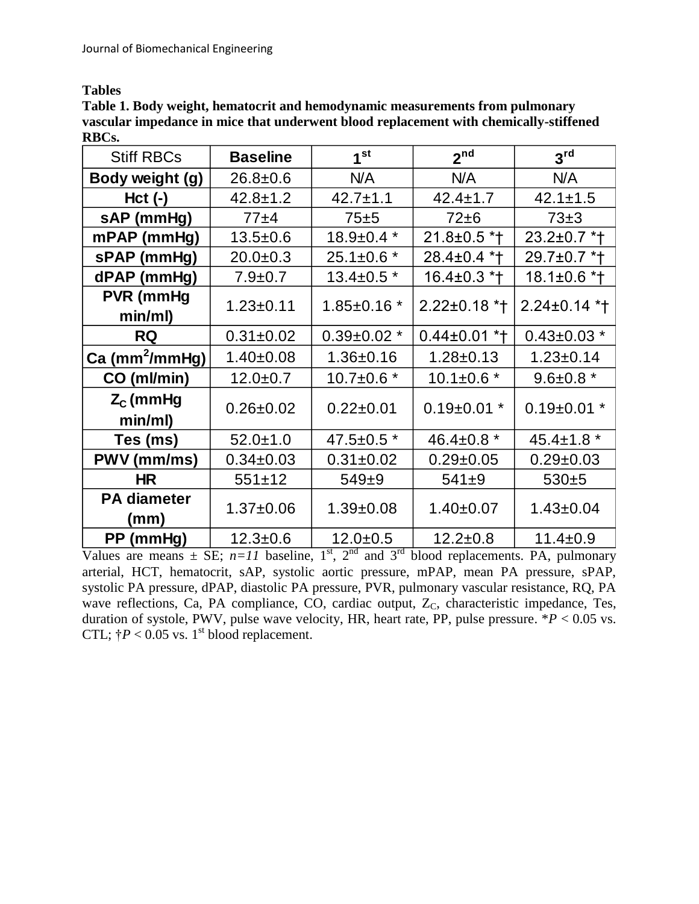**Tables**

**Table 1. Body weight, hematocrit and hemodynamic measurements from pulmonary vascular impedance in mice that underwent blood replacement with chemically-stiffened RBCs.**

| <b>Stiff RBCs</b>           | <b>Baseline</b> | 1 <sup>st</sup>   | 2 <sup>nd</sup>    | 3 <sup>rd</sup>   |
|-----------------------------|-----------------|-------------------|--------------------|-------------------|
| Body weight (g)             | $26.8 \pm 0.6$  | N/A               | N/A                | N/A               |
| $Hct$ (-)                   | $42.8 \pm 1.2$  | $42.7 \pm 1.1$    | $42.4 \pm 1.7$     | $42.1 \pm 1.5$    |
| sAP (mmHg)                  | 77±4            | 75±5              | $72\pm 6$          | $73\pm3$          |
| mPAP (mmHg)                 | $13.5 \pm 0.6$  | $18.9 \pm 0.4$ *  | $21.8 \pm 0.5$ *†  | 23.2±0.7 *t       |
| sPAP (mmHg)                 | $20.0+0.3$      | $25.1 \pm 0.6$ *  | 28.4±0.4 *†        | 29.7±0.7 *†       |
| dPAP (mmHg)                 | $7.9 \pm 0.7$   | $13.4 \pm 0.5$ *  | $16.4 \pm 0.3$ * † | $18.1 \pm 0.6$ *† |
| <b>PVR</b> (mmHg<br>min/ml) | $1.23 + 0.11$   | $1.85 \pm 0.16$ * | $2.22 \pm 0.18$ *+ | $2.24 \pm 0.14$ * |
| <b>RQ</b>                   | $0.31 \pm 0.02$ | $0.39 \pm 0.02$ * | $0.44\pm0.01$ *†   | $0.43 \pm 0.03$ * |
| Ca (mm <sup>2</sup> /mmHg)  | $1.40 \pm 0.08$ | $1.36 \pm 0.16$   | $1.28 \pm 0.13$    | $1.23 \pm 0.14$   |
| CO (ml/min)                 | $12.0 + 0.7$    | $10.7 \pm 0.6$ *  | $10.1 \pm 0.6$ *   | $9.6 \pm 0.8$ *   |
| $Z_c$ (mmHg<br>min/ml)      | $0.26 \pm 0.02$ | $0.22 \pm 0.01$   | $0.19 \pm 0.01$ *  | $0.19 \pm 0.01$ * |
| Tes (ms)                    | $52.0 \pm 1.0$  | 47.5±0.5 *        | 46.4 $\pm$ 0.8 $*$ | $45.4 \pm 1.8$ *  |
| PWV (mm/ms)                 | $0.34 \pm 0.03$ | $0.31 \pm 0.02$   | $0.29 \pm 0.05$    | $0.29 \pm 0.03$   |
| <b>HR</b>                   | $551 \pm 12$    | $549 + 9$         | $541+9$            | $530+5$           |
| <b>PA diameter</b><br>(mm)  | $1.37 \pm 0.06$ | $1.39 \pm 0.08$   | $1.40 \pm 0.07$    | $1.43 \pm 0.04$   |
| PP (mmHg)                   | $12.3 \pm 0.6$  | $12.0 + 0.5$      | $12.2 \pm 0.8$     | $11.4 \pm 0.9$    |

Values are means  $\pm$  SE;  $n=11$  baseline, 1<sup>st</sup>, 2<sup>nd</sup> and 3<sup>rd</sup> blood replacements. PA, pulmonary arterial, HCT, hematocrit, sAP, systolic aortic pressure, mPAP, mean PA pressure, sPAP, systolic PA pressure, dPAP, diastolic PA pressure, PVR, pulmonary vascular resistance, RQ, PA wave reflections, Ca, PA compliance, CO, cardiac output,  $Z_c$ , characteristic impedance, Tes, duration of systole, PWV, pulse wave velocity, HR, heart rate, PP, pulse pressure.  $*P < 0.05$  vs. CTL;  $\dagger P < 0.05$  vs. 1<sup>st</sup> blood replacement.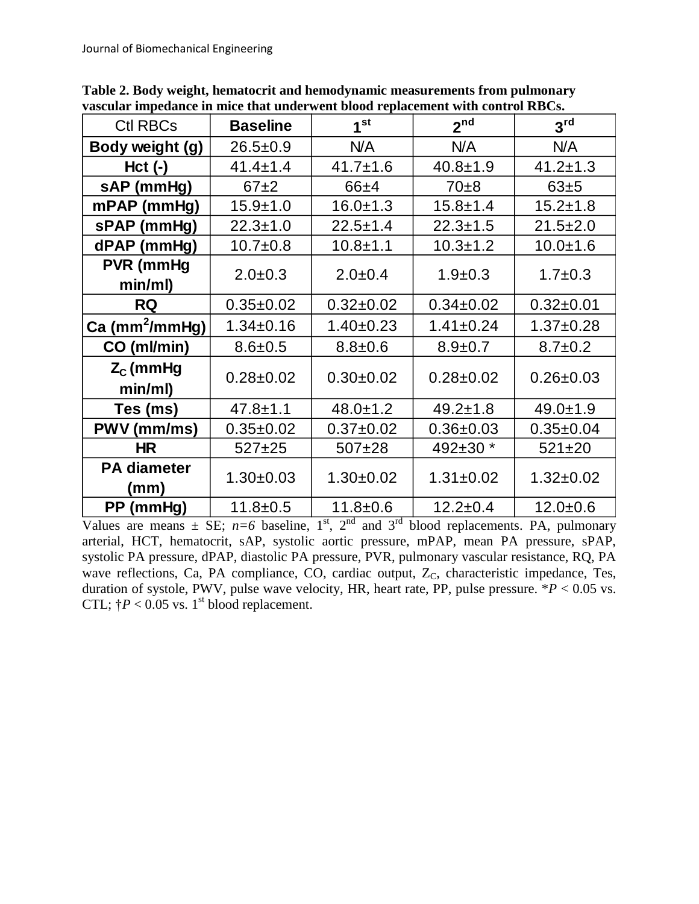| <b>Ctl RBCs</b>             | <b>Baseline</b> | 1 <sup>st</sup> | 2 <sup>nd</sup> | 3 <sup>rd</sup> |
|-----------------------------|-----------------|-----------------|-----------------|-----------------|
| Body weight (g)             | $26.5 \pm 0.9$  | N/A             | N/A             | N/A             |
| $Hct$ (-)                   | $41.4 \pm 1.4$  | $41.7 \pm 1.6$  | $40.8 + 1.9$    | $41.2 \pm 1.3$  |
| sAP (mmHg)                  | $67+2$          | 66±4            | $70\pm8$        | 63±5            |
| mPAP (mmHg)                 | $15.9 + 1.0$    | $16.0 \pm 1.3$  | $15.8 + 1.4$    | $15.2 \pm 1.8$  |
| sPAP (mmHg)                 | $22.3 \pm 1.0$  | $22.5 \pm 1.4$  | $22.3 \pm 1.5$  | $21.5 \pm 2.0$  |
| dPAP (mmHg)                 | $10.7 + 0.8$    | $10.8 + 1.1$    | $10.3 + 1.2$    | $10.0 + 1.6$    |
| <b>PVR</b> (mmHg<br>min/ml) | $2.0 \pm 0.3$   | $2.0 \pm 0.4$   | $1.9 \pm 0.3$   | $1.7 \pm 0.3$   |
| <b>RQ</b>                   | $0.35 \pm 0.02$ | $0.32 \pm 0.02$ | $0.34 \pm 0.02$ | $0.32 \pm 0.01$ |
| Ca (mm <sup>2</sup> /mmHg)  | $1.34 \pm 0.16$ | $1.40 \pm 0.23$ | $1.41 \pm 0.24$ | $1.37 \pm 0.28$ |
| CO (ml/min)                 | $8.6 \pm 0.5$   | $8.8 + 0.6$     | $8.9 \pm 0.7$   | $8.7 \pm 0.2$   |
| $Z_c$ (mmHg<br>min/ml)      | $0.28 + 0.02$   | $0.30+0.02$     | $0.28 \pm 0.02$ | $0.26 \pm 0.03$ |
| Tes (ms)                    | $47.8 \pm 1.1$  | $48.0 \pm 1.2$  | $49.2 \pm 1.8$  | $49.0 \pm 1.9$  |
| PWV (mm/ms)                 | $0.35 \pm 0.02$ | $0.37 \pm 0.02$ | $0.36 \pm 0.03$ | $0.35 \pm 0.04$ |
| <b>HR</b>                   | $527+25$        | $507+28$        | 492±30 *        | $521 \pm 20$    |
| <b>PA diameter</b><br>(mm)  | $1.30 + 0.03$   | $1.30+0.02$     | $1.31 \pm 0.02$ | $1.32 \pm 0.02$ |
| PP (mmHg)                   | $11.8 + 0.5$    | $11.8 + 0.6$    | $12.2 \pm 0.4$  | $12.0 + 0.6$    |

**Table 2. Body weight, hematocrit and hemodynamic measurements from pulmonary vascular impedance in mice that underwent blood replacement with control RBCs.**

Values are means  $\pm$  SE;  $n=6$  baseline,  $1^{st}$ ,  $2^{nd}$  and  $3^{rd}$  blood replacements. PA, pulmonary arterial, HCT, hematocrit, sAP, systolic aortic pressure, mPAP, mean PA pressure, sPAP, systolic PA pressure, dPAP, diastolic PA pressure, PVR, pulmonary vascular resistance, RQ, PA wave reflections, Ca, PA compliance, CO, cardiac output, Z<sub>C</sub>, characteristic impedance, Tes, duration of systole, PWV, pulse wave velocity, HR, heart rate, PP, pulse pressure.  $*P < 0.05$  vs. CTL;  $\dagger P < 0.05$  vs. 1<sup>st</sup> blood replacement.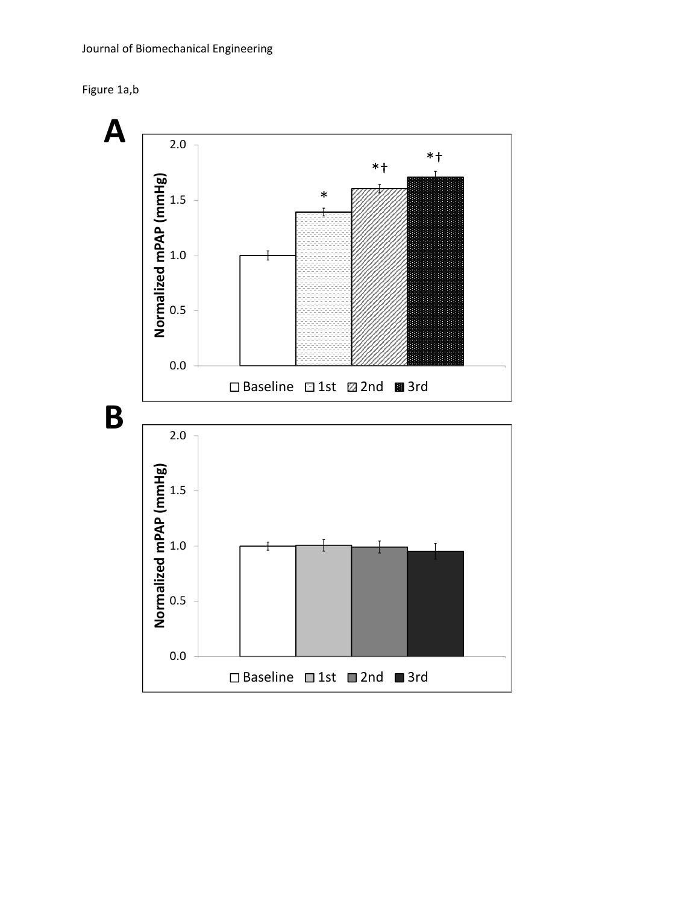

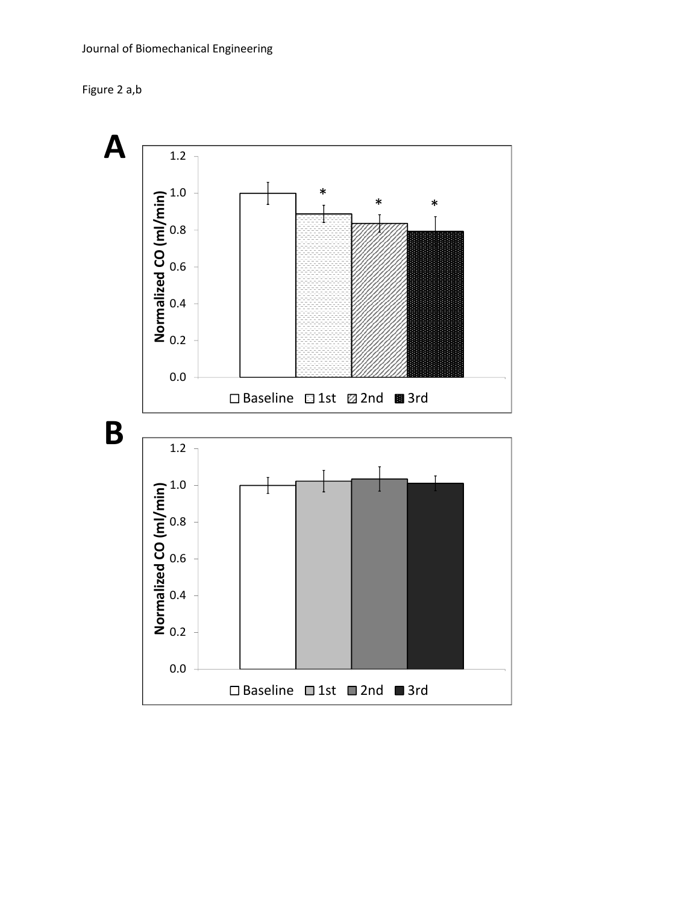

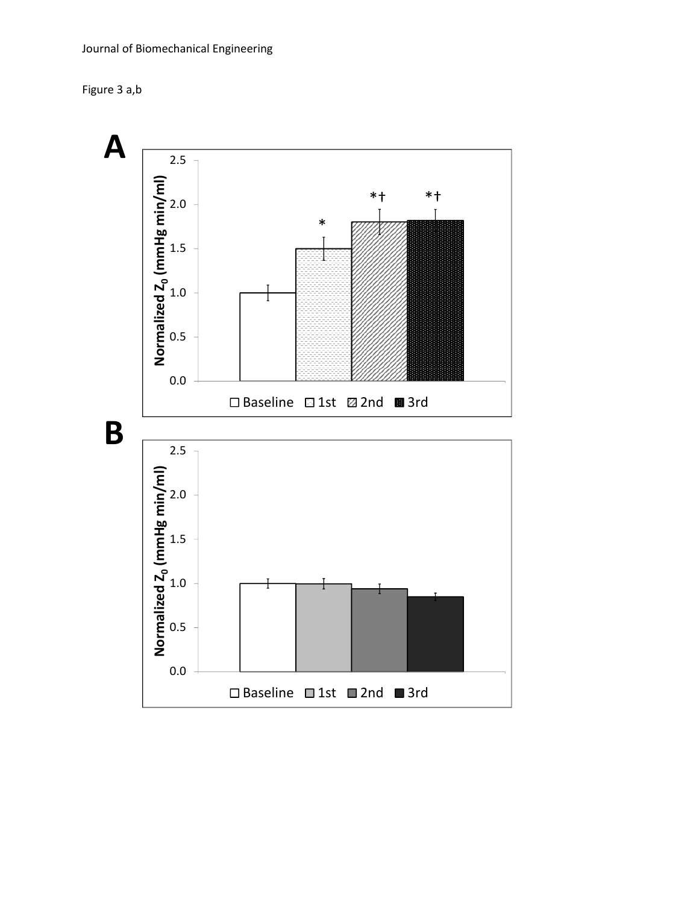

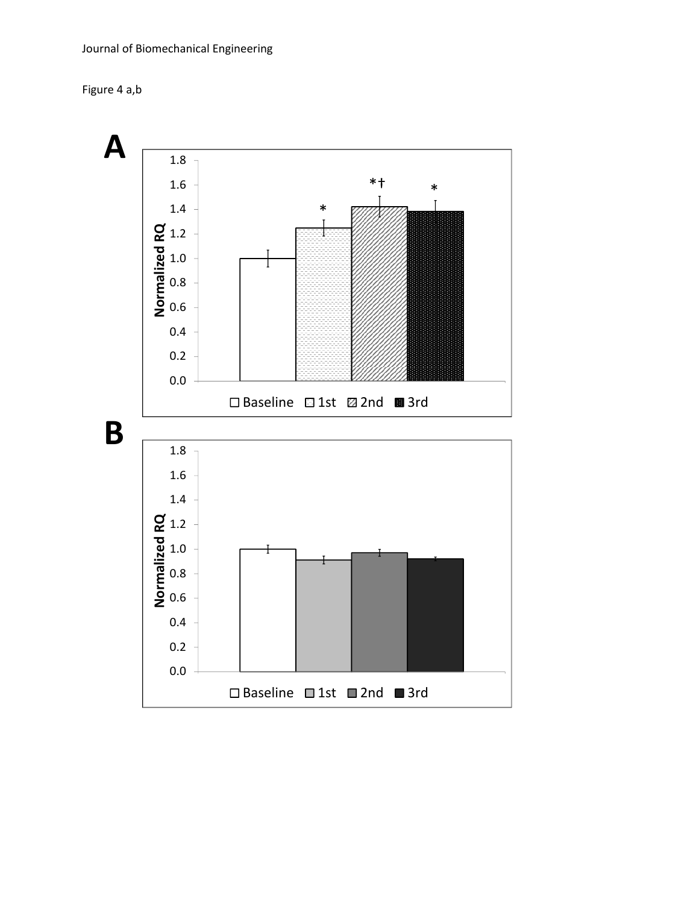

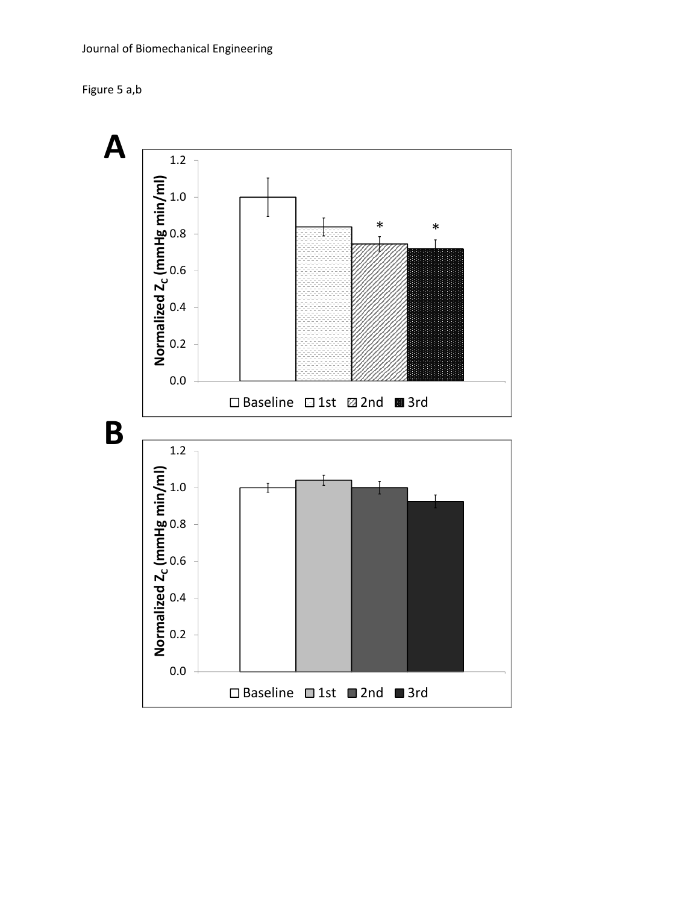